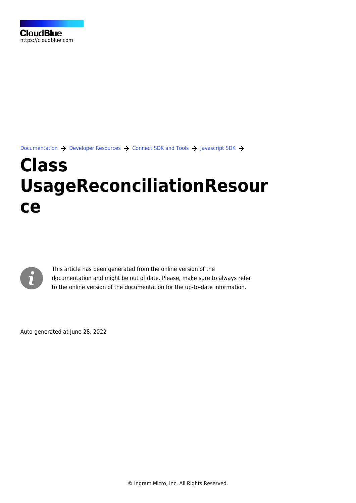[Documentation](https://connect.cloudblue.com/documentation)  $\rightarrow$  [Developer Resources](https://connect.cloudblue.com/community/developers/)  $\rightarrow$  [Connect SDK and Tools](https://connect.cloudblue.com/community/developers/sdk/)  $\rightarrow$  [Javascript SDK](https://connect.cloudblue.com/community/developers/sdk/javascript-sdk/)  $\rightarrow$ 

# **[Class](https://connect.cloudblue.com/community/developers/sdk/javascript-sdk/class-usagereconciliationresource/) [UsageReconciliationResour](https://connect.cloudblue.com/community/developers/sdk/javascript-sdk/class-usagereconciliationresource/) [ce](https://connect.cloudblue.com/community/developers/sdk/javascript-sdk/class-usagereconciliationresource/)**



This article has been generated from the online version of the documentation and might be out of date. Please, make sure to always refer to the online version of the documentation for the up-to-date information.

Auto-generated at June 28, 2022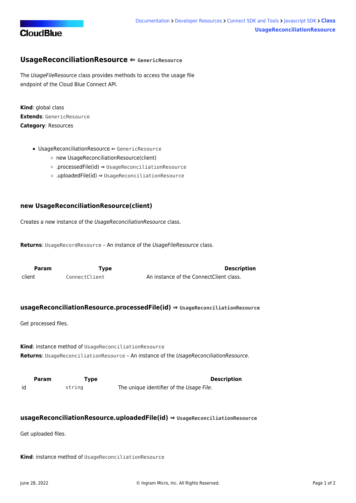

## <span id="page-1-0"></span>**UsageReconciliationResource ⇐ GenericResource**

The UsageFileResource class provides methods to access the usage file endpoint of the Cloud Blue Connect API.

**Kind**: global class **Extends**: GenericResource **Category**: Resources

- [UsageReconciliationResource](#page-1-0) ⇐ GenericResource
	- [new UsageReconciliationResource\(client\)](#page-1-1)
	- [.processedFile\(id\)](#page-1-2) ⇒ [UsageReconciliationResource](#page-1-0)
	- [.uploadedFile\(id\)](#page-1-3) ⇒ [UsageReconciliationResource](#page-1-0)

### <span id="page-1-1"></span>**new UsageReconciliationResource(client)**

Creates a new instance of the UsageReconciliationResource class.

Returns: UsageRecordResource - An instance of the UsageFileResource class.

<span id="page-1-2"></span>

| <b>Param</b> | Type          | <b>Description</b>                      |
|--------------|---------------|-----------------------------------------|
| client       | ConnectClient | An instance of the ConnectClient class. |

#### **usageReconciliationResource.processedFile(id) ⇒ [UsageReconciliationResource](#page-1-0)**

Get processed files.

**Kind**: instance method of [UsageReconciliationResource](#page-1-0) **Returns**: [UsageReconciliationResource](#page-1-0) – An instance of the UsageReconciliationResource.

<span id="page-1-3"></span>**Param Type Type Description** id string The unique identifier of the Usage File.

#### **usageReconciliationResource.uploadedFile(id) ⇒ [UsageReconciliationResource](#page-1-0)**

Get uploaded files.

**Kind**: instance method of [UsageReconciliationResource](#page-1-0)